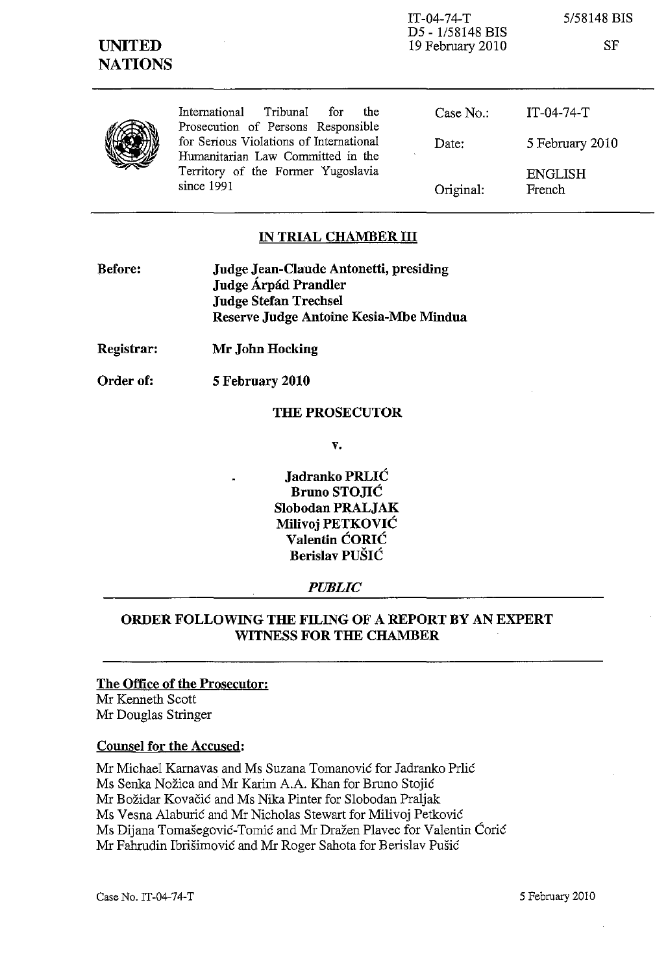| <b>UNITED</b><br><b>NATIONS</b> |                                                                                                                                  | D5 - 1/58148 BIS<br>19 February 2010 | SF                       |
|---------------------------------|----------------------------------------------------------------------------------------------------------------------------------|--------------------------------------|--------------------------|
|                                 | Tribunal<br>International<br>for<br>the<br>Prosecution of Persons Responsible                                                    | Case $No.$ :                         | $IT-04-74-T$             |
|                                 | for Serious Violations of International<br>Humanitarian Law Committed in the<br>Territory of the Former Yugoslavia<br>since 1991 | Date:                                | 5 February 2010          |
|                                 |                                                                                                                                  | Original:                            | <b>ENGLISH</b><br>French |

IT-04-74-T

5/58148 BIS

### **IN TRIAL CHAMBER III**

- **Before: Judge Jean-Claude Antonetti, presiding Judge Arpad Prandler Judge Stefan Trechsel Reserve Judge Antoine Kesia-Mbe Mindua**
- **Registrar: Mr John Hocking**
- **Order of: 5 February 2010**

#### **THE PROSECUTOR**

**v.** 

Jadranko PRLIĆ **Bruno STOJIC Slobodan PRALJAK Milivoj PETKOVIC Valentin CORIC Berislav PUSIC** 

#### *PUBLIC*

## **ORDER FOLLOWING THE FILING OF A REPORT BY AN EXPERT WITNESS FOR THE CHAMBER**

## **The Office of the Prosecutor:**  Mr Kenneth Scott Mr Douglas Stringer

#### **Counsel for the Accused:**

Mr Michael Karnavas and Ms Suzana Tomanović for Jadranko Prlić Ms Senka Nozica and Mr Karim A.A. Khan for Bruno Stojie Mr Božidar Kovačić and Ms Nika Pinter for Slobodan Praljak Ms Vesna Alaburić and Mr Nicholas Stewart for Milivoj Petković Ms Dijana Tomašegović-Tomić and Mr Dražen Plavec for Valentin Ćorić Mr Fahrudin Ibrišimović and Mr Roger Sahota for Berislav Pušić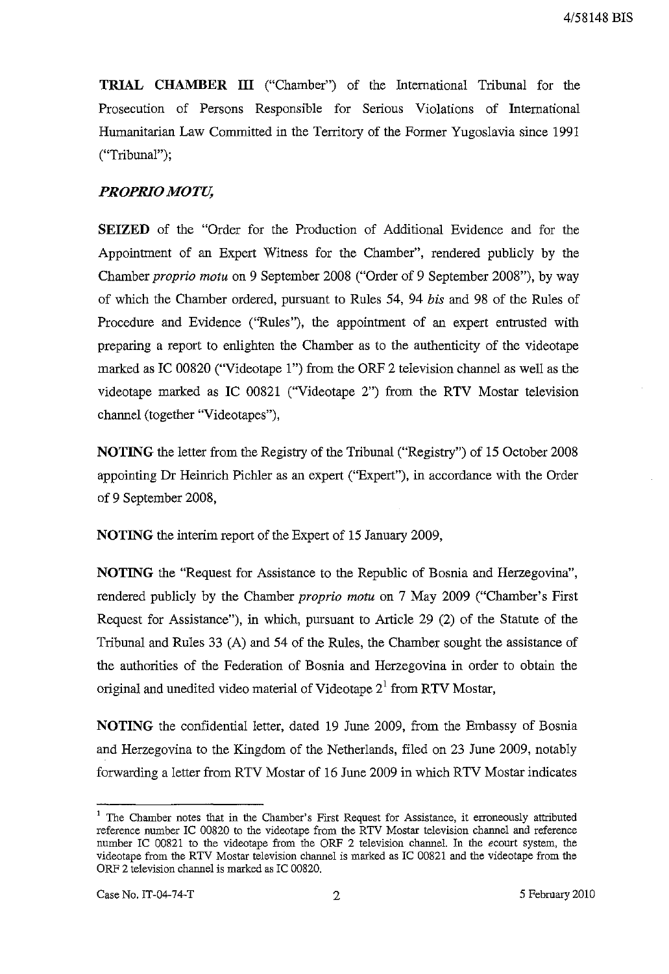**TRIAL CHAMBER III** ("Chamber") of the International Tribunal for the Prosecution of Persons Responsible for Serious Violations of International Humanitarian Law Committed in the Territory of the Former Yugoslavia since 1991 ("Tribunal");

## *PROPRIO MOTU;*

**SEIZED** of the "Order for the Production of Additional Evidence and for the Appointment of an Expert Witness for the Chamber", rendered publicly by the Chamber *proprio motu* on 9 September 2008 ("Order of 9 September 2008"), by way of which the Chamber ordered, pursuant to Rules 54, 94 *bis* and 98 of the Rules of Procedure and Evidence (''Rules''), the appointment of an expert entrusted with preparing a report to enlighten the Chamber as to the authenticity of the videotape marked as **IC** 00820 ("Videotape 1") from the ORF 2 television channel as well as the videotape marked as **IC** 00821 ("Videotape 2") from the RTV Mostar television channel (together "Videotapes"),

**NOTING** the letter from the Registry of the Tribunal ("Registry") of 15 October 2008 appointing Dr Heinrich Pichler as an expert ("Expert"), in accordance with the Order of 9 September 2008,

**NOTING** the interim report of the Expert of 15 January 2009,

**NOTING** the "Request for Assistance to the Republic of Bosnia and Herzegovina", rendered publicly by the Chamber *proprio motu* on 7 May 2009 ("Chamber's First Request for Assistance"), in which, pursuant to Article 29 (2) of the Statute of the Tribunal and Rules 33 (A) and 54 of the Rules, the Chamber sought the assistance of the authorities of the Federation of Bosnia and Herzegovina in order to obtain the original and unedited video material of Videotape  $2<sup>1</sup>$  from RTV Mostar,

**NOTING** the confidential letter, dated 19 June 2009, from the Embassy of Bosnia and Herzegovina to the Kingdom of the Netherlands, filed on 23 June 2009, notably forwarding a letter from RTV Mostar of 16 June 2009 in which RTV Mostar indicates

<sup>&</sup>lt;sup>1</sup> The Chamber notes that in the Chamber's First Request for Assistance, it erroneously attributed reference number rc 00820 to the videotape from the RTV Mostar television channel aud reference number IC 00821 to the videotape from the ORF 2 television channel. In the ecourt system, the videotape from the RTV Mostar television channel is marked as IC 00821 and the videotape from the ORF 2 television channel is marked as IC 00820.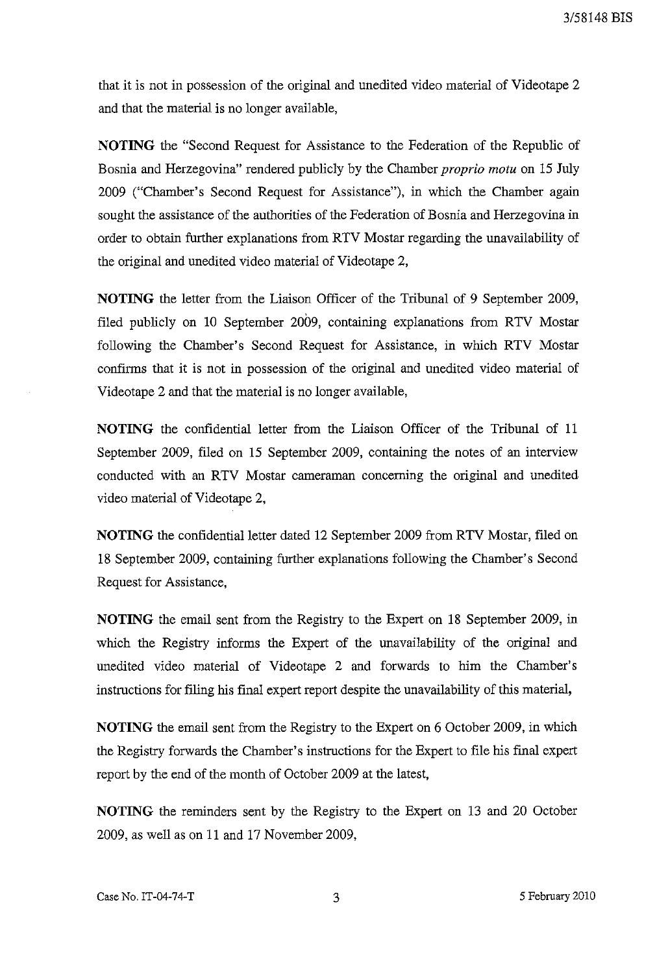that it is not in possession of the original and unedited video material of Videotape 2 and that the material is no longer available,

**NOTING** the "Second Request for Assistance to the Federation of the Republic of Bosnia and Herzegovina" rendered publicly by the Chamber *proprio motu* on 15 July 2009 ("Chamber's Second Request for Assistance"), in which the Chamber again sought the assistance of the authorities of the Federation of Bosnia and Herzegovina in order to obtain further explanations from RTV Mostar regarding the unavailability of the original and unedited video material of Videotape 2,

**NOTING** the letter from the Liaison Officer of the Tribunal of 9 September 2009, filed publicly on 10 September 2009, containing explanations from RTV Mostar following the Chamber's Second Request for Assistance, in which RTV Mostar confirms that it is not in possession of the original and unedited video material of Videotape 2 and that the material is no longer available,

**NOTING** the confidential letter from the Liaison Officer of the Tribunal of 11 September 2009, filed on 15 September 2009, containing the notes of an interview conducted with an RTV Mostar cameraman concerning the original and unedited video material of Videotape 2,

**NOTING** the confidential letter dated 12 September 2009 from **RTV** Mostar, filed on 18 September 2009, containing further explanations following the Chamber's Second Request for Assistance,

**NOTING** the email sent from the Registry to the Expert on 18 September 2009, in which the Registry informs the Expert of the unavailability of the original and unedited video material of Videotape 2 and forwards to him the Chamber's instructions for filing his final expert report despite the unavailability of this material,

**NOTING** the email sent from the Registry to the Expert on 6 October 2009, in which the Registry forwards the Chamber's instructions for the Expert to file his final expert report by the end of the month of October 2009 at the latest,

**NOTING** the reminders sent by the Registry to the Expert on 13 and 20 October 2009, as well as on 11 and 17 November 2009,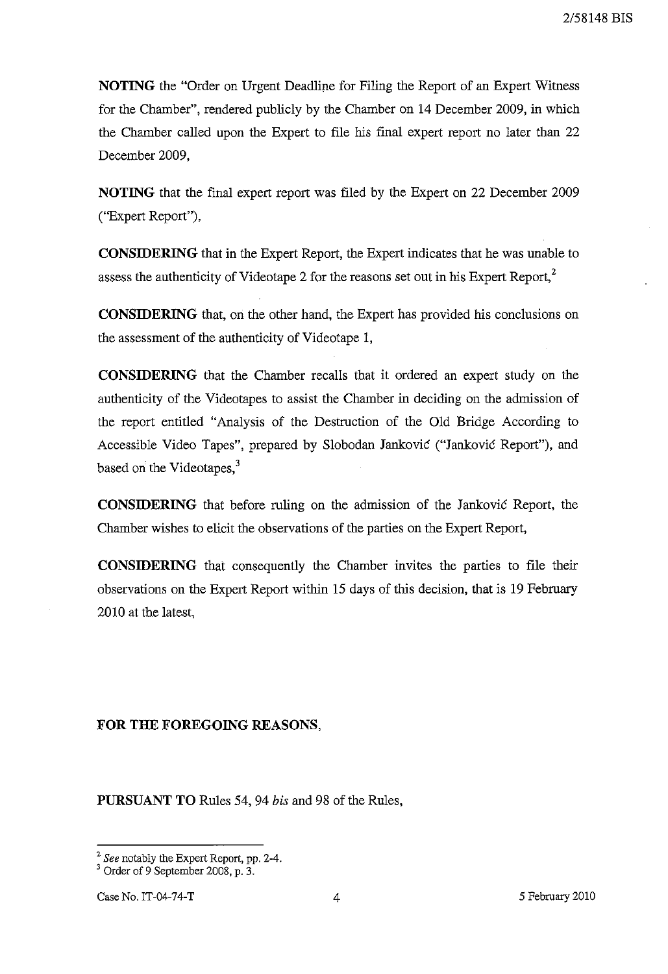**NOTING** the "Order on Urgent Deadlipe for Filing the Report of an Expert Witness for the Chamber", rendered publicly by the Chamber on 14 December 2009, in which the Chamber called upon the Expert to file his final expert report no later than 22 December 2009,

**NOTING** that the final expert report was filed by the Expert on 22 December 2009 (''Expert Report"),

**CONSIDERING** that in the Expert Report, the Expert indicates that he was unable to assess the authenticity of Videotape 2 for the reasons set out in his Expert Report,<sup>2</sup>

**CONSIDERING** that, on the other hand, the Expert has provided his conclusions on the assessment of the authenticity of Videotape 1,

**CONSIDERING** that the Chamber recalls that it ordered an expert study on the authenticity of the Videotapes to assist the Chamber in deciding on the admission of the report entitled "Analysis of the Destruction of the Old Bridge According to Accessible Video Tapes", prepared by Slobodan Jankovic ("Jankovic Report"), and based on the Videotapes,<sup>3</sup>

**CONSIDERING** that before ruling on the admission of the Jankovic Report, the Chamber wishes to elicit the observations of the parties on the Expert Report,

**CONSIDERING** that consequently the Chamber invites the parties to file their observations on the Expert Report within 15 days of this decision, that is 19 February 2010 at the latest,

### **FOR THE FOREGOING REASONS,**

**PURSUANT TO** Rules 54, 94 *his* and 98 of the Rules,

<sup>2</sup>*See* notably the Expert Report, pp. 2-4.

<sup>&</sup>lt;sup>3</sup> Order of 9 September 2008, p. 3.